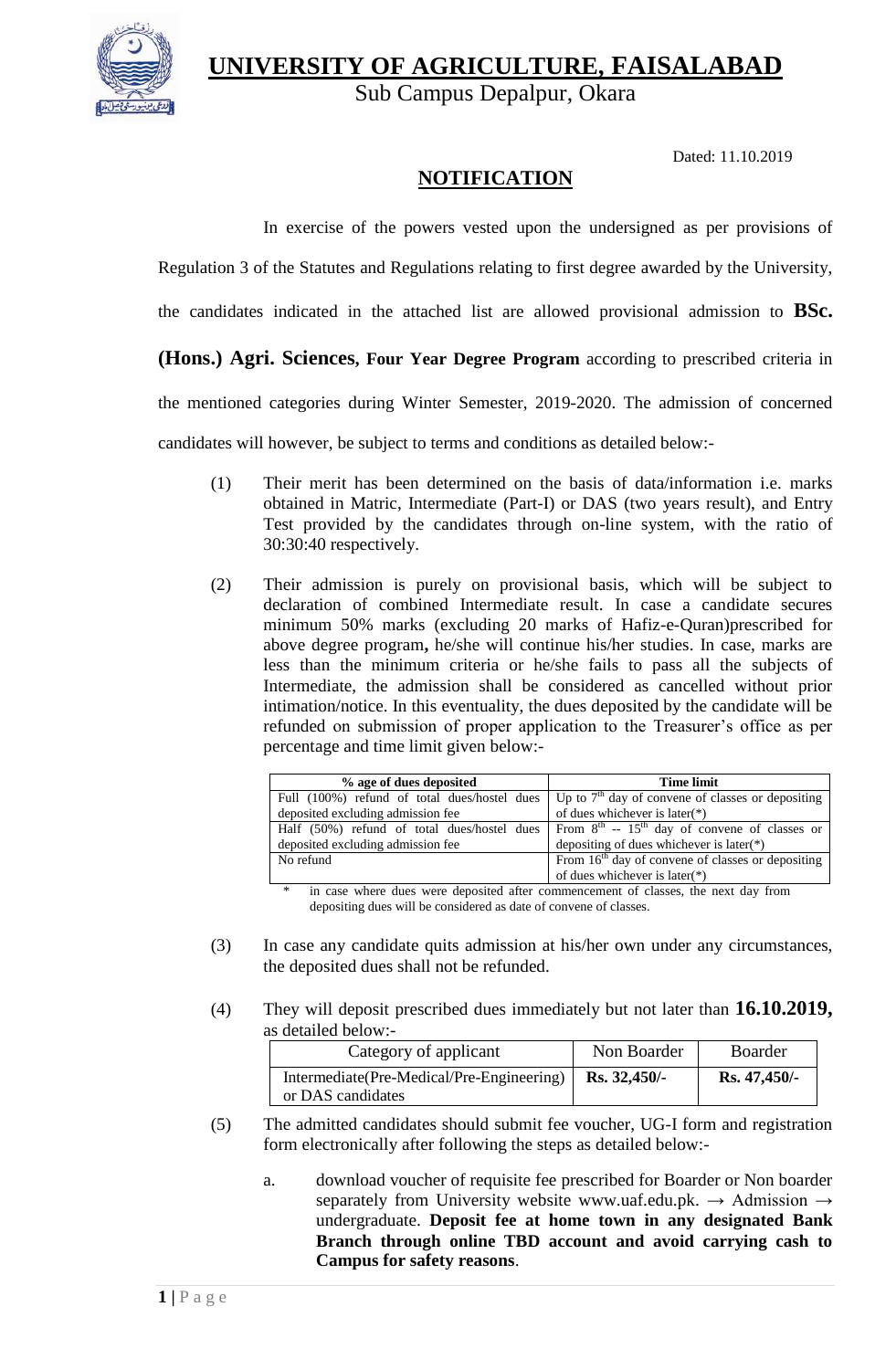**UNIVERSITY OF AGRICULTURE, FAISALABAD**



Sub Campus Depalpur, Okara

Dated: 11.10.2019

## **NOTIFICATION**

In exercise of the powers vested upon the undersigned as per provisions of

Regulation 3 of the Statutes and Regulations relating to first degree awarded by the University,

the candidates indicated in the attached list are allowed provisional admission to **BSc.** 

## **(Hons.) Agri. Sciences, Four Year Degree Program** according to prescribed criteria in

the mentioned categories during Winter Semester, 2019-2020. The admission of concerned

candidates will however, be subject to terms and conditions as detailed below:-

- (1) Their merit has been determined on the basis of data/information i.e. marks obtained in Matric, Intermediate (Part-I) or DAS (two years result), and Entry Test provided by the candidates through on-line system, with the ratio of 30:30:40 respectively.
- (2) Their admission is purely on provisional basis, which will be subject to declaration of combined Intermediate result. In case a candidate secures minimum 50% marks (excluding 20 marks of Hafiz-e-Quran)prescribed for above degree program**,** he/she will continue his/her studies. In case, marks are less than the minimum criteria or he/she fails to pass all the subjects of Intermediate, the admission shall be considered as cancelled without prior intimation/notice. In this eventuality, the dues deposited by the candidate will be refunded on submission of proper application to the Treasurer's office as per percentage and time limit given below:-

| % age of dues deposited                      | <b>Time limit</b>                                              |  |  |
|----------------------------------------------|----------------------------------------------------------------|--|--|
| Full (100%) refund of total dues/hostel dues | Up to $7th$ day of convene of classes or depositing            |  |  |
| deposited excluding admission fee            | of dues whichever is later(*)                                  |  |  |
| Half (50%) refund of total dues/hostel dues  | From $8^{th}$ -- 15 <sup>th</sup> day of convene of classes or |  |  |
| deposited excluding admission fee            | depositing of dues whichever is later $(*)$                    |  |  |
| No refund                                    | From $16th$ day of convene of classes or depositing            |  |  |
|                                              | of dues whichever is later $(*)$                               |  |  |

in case where dues were deposited after commencement of classes, the next day from depositing dues will be considered as date of convene of classes.

- (3) In case any candidate quits admission at his/her own under any circumstances, the deposited dues shall not be refunded.
- (4) They will deposit prescribed dues immediately but not later than **16.10.2019,**  as detailed below:-

| Category of applicant                                          | Non Boarder    | <b>Boarder</b> |
|----------------------------------------------------------------|----------------|----------------|
| Intermediate(Pre-Medical/Pre-Engineering)<br>or DAS candidates | $Rs. 32,450/-$ | Rs. 47,450/    |

- (5) The admitted candidates should submit fee voucher, UG-I form and registration form electronically after following the steps as detailed below:
	- a. download voucher of requisite fee prescribed for Boarder or Non boarder separately from University website [www.uaf.edu.pk.](http://www.uaf.edu.pk/)  $\rightarrow$  Admission  $\rightarrow$ undergraduate. **Deposit fee at home town in any designated Bank Branch through online TBD account and avoid carrying cash to Campus for safety reasons**.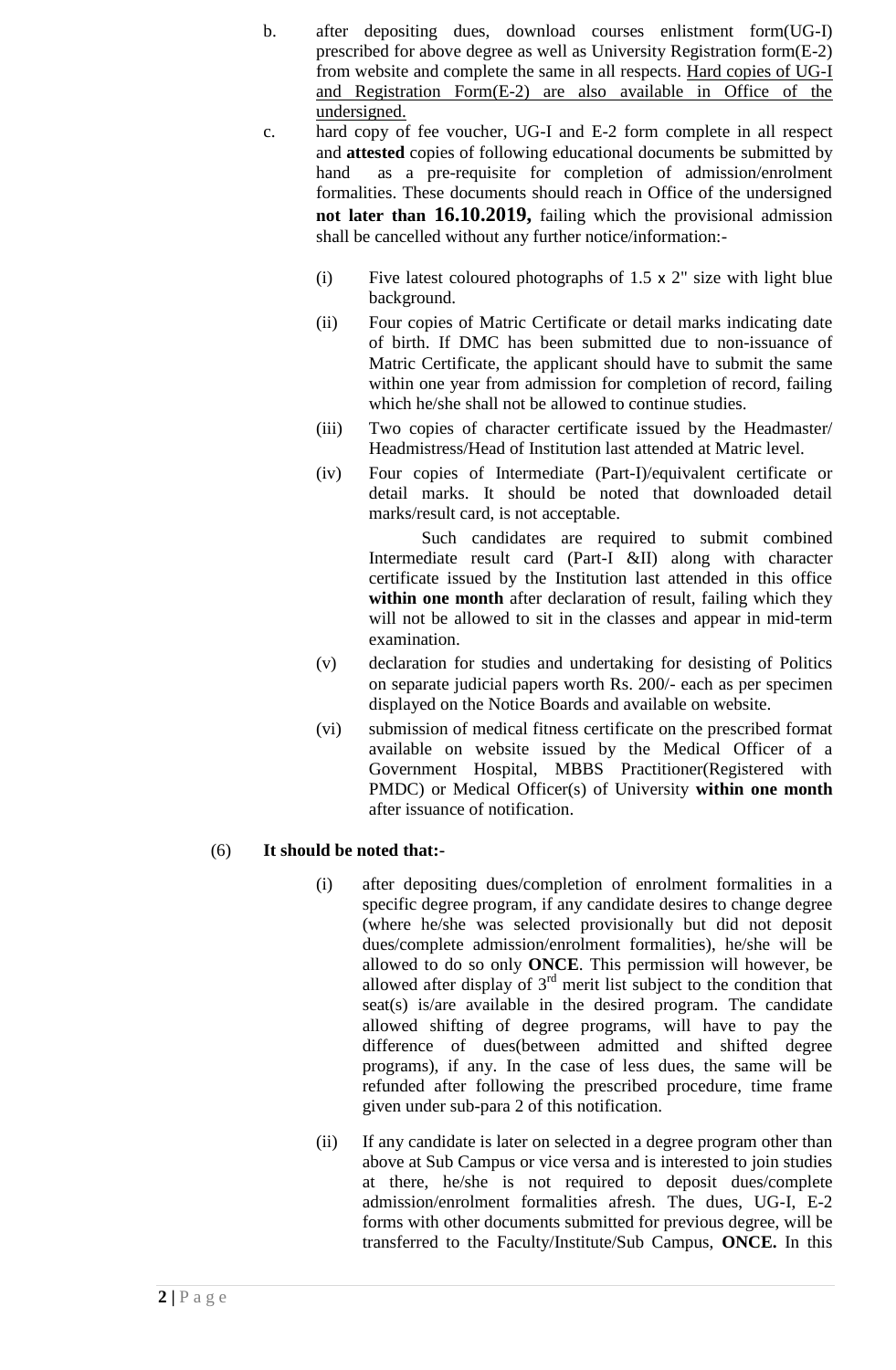- b. after depositing dues, download courses enlistment form(UG-I) prescribed for above degree as well as University Registration form(E-2) from website and complete the same in all respects. Hard copies of UG-I and Registration Form(E-2) are also available in Office of the undersigned.
- c. hard copy of fee voucher, UG-I and E-2 form complete in all respect and **attested** copies of following educational documents be submitted by hand as a pre-requisite for completion of admission/enrolment formalities. These documents should reach in Office of the undersigned **not later than 16.10.2019,** failing which the provisional admission shall be cancelled without any further notice/information:-
	- (i) Five latest coloured photographs of  $1.5 \times 2$ " size with light blue background.
	- (ii) Four copies of Matric Certificate or detail marks indicating date of birth. If DMC has been submitted due to non-issuance of Matric Certificate, the applicant should have to submit the same within one year from admission for completion of record, failing which he/she shall not be allowed to continue studies.
	- (iii) Two copies of character certificate issued by the Headmaster/ Headmistress/Head of Institution last attended at Matric level.
	- (iv) Four copies of Intermediate (Part-I)/equivalent certificate or detail marks. It should be noted that downloaded detail marks/result card, is not acceptable.

Such candidates are required to submit combined Intermediate result card (Part-I &II) along with character certificate issued by the Institution last attended in this office **within one month** after declaration of result, failing which they will not be allowed to sit in the classes and appear in mid-term examination.

- (v) declaration for studies and undertaking for desisting of Politics on separate judicial papers worth Rs. 200/- each as per specimen displayed on the Notice Boards and available on website.
- (vi) submission of medical fitness certificate on the prescribed format available on website issued by the Medical Officer of a Government Hospital, MBBS Practitioner(Registered with PMDC) or Medical Officer(s) of University **within one month** after issuance of notification.

## (6) **It should be noted that:-**

- (i) after depositing dues/completion of enrolment formalities in a specific degree program, if any candidate desires to change degree (where he/she was selected provisionally but did not deposit dues/complete admission/enrolment formalities), he/she will be allowed to do so only **ONCE**. This permission will however, be allowed after display of  $3<sup>rd</sup>$  merit list subject to the condition that seat(s) is/are available in the desired program. The candidate allowed shifting of degree programs, will have to pay the difference of dues(between admitted and shifted degree programs), if any. In the case of less dues, the same will be refunded after following the prescribed procedure, time frame given under sub-para 2 of this notification.
- (ii) If any candidate is later on selected in a degree program other than above at Sub Campus or vice versa and is interested to join studies at there, he/she is not required to deposit dues/complete admission/enrolment formalities afresh. The dues, UG-I, E-2 forms with other documents submitted for previous degree, will be transferred to the Faculty/Institute/Sub Campus, **ONCE.** In this